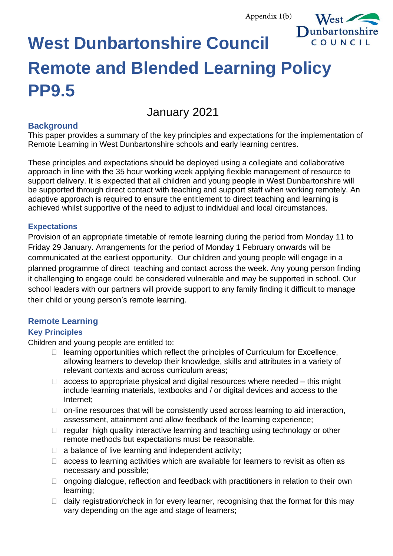Appendix 1(b)



# **West Dunbartonshire Council Remote and Blended Learning Policy PP9.5**

## January 2021

#### **Background**

This paper provides a summary of the key principles and expectations for the implementation of Remote Learning in West Dunbartonshire schools and early learning centres.

These principles and expectations should be deployed using a collegiate and collaborative approach in line with the 35 hour working week applying flexible management of resource to support delivery. It is expected that all children and young people in West Dunbartonshire will be supported through direct contact with teaching and support staff when working remotely. An adaptive approach is required to ensure the entitlement to direct teaching and learning is achieved whilst supportive of the need to adjust to individual and local circumstances.

#### **Expectations**

Provision of an appropriate timetable of remote learning during the period from Monday 11 to Friday 29 January. Arrangements for the period of Monday 1 February onwards will be communicated at the earliest opportunity. Our children and young people will engage in a planned programme of direct teaching and contact across the week. Any young person finding it challenging to engage could be considered vulnerable and may be supported in school. Our school leaders with our partners will provide support to any family finding it difficult to manage their child or young person's remote learning.

## **Remote Learning**

### **Key Principles**

Children and young people are entitled to:

- $\Box$  learning opportunities which reflect the principles of Curriculum for Excellence, allowing learners to develop their knowledge, skills and attributes in a variety of relevant contexts and across curriculum areas;
- $\Box$  access to appropriate physical and digital resources where needed this might include learning materials, textbooks and / or digital devices and access to the Internet;
- $\Box$  on-line resources that will be consistently used across learning to aid interaction, assessment, attainment and allow feedback of the learning experience;
- $\Box$  regular high quality interactive learning and teaching using technology or other remote methods but expectations must be reasonable.
- $\Box$  a balance of live learning and independent activity;
- $\Box$  access to learning activities which are available for learners to revisit as often as necessary and possible;
- $\Box$  ongoing dialogue, reflection and feedback with practitioners in relation to their own learning;
- $\Box$  daily registration/check in for every learner, recognising that the format for this may vary depending on the age and stage of learners;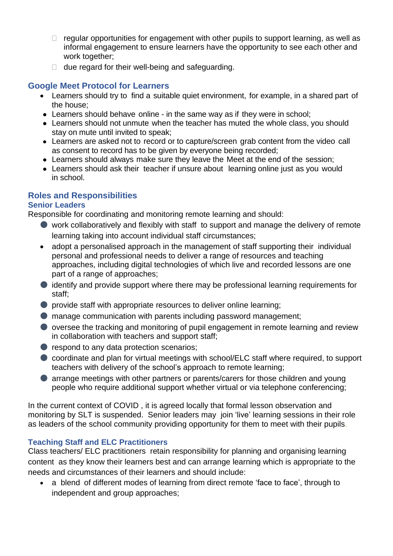- $\Box$  regular opportunities for engagement with other pupils to support learning, as well as informal engagement to ensure learners have the opportunity to see each other and work together;
- $\Box$  due regard for their well-being and safeguarding.

#### **Google Meet Protocol for Learners**

- Learners should try to find a suitable quiet environment, for example, in a shared part of the house;
- Learners should behave online in the same way as if they were in school;
- Learners should not unmute when the teacher has muted the whole class, you should stay on mute until invited to speak;
- Learners are asked not to record or to capture/screen grab content from the video call as consent to record has to be given by everyone being recorded;
- Learners should always make sure they leave the Meet at the end of the session;
- Learners should ask their teacher if unsure about learning online just as you would in school.

#### **Roles and Responsibilities**

#### **Senior Leaders**

Responsible for coordinating and monitoring remote learning and should:

- work collaboratively and flexibly with staff to support and manage the delivery of remote learning taking into account individual staff circumstances;
- adopt a personalised approach in the management of staff supporting their individual personal and professional needs to deliver a range of resources and teaching approaches, including digital technologies of which live and recorded lessons are one part of a range of approaches;
- identify and provide support where there may be professional learning requirements for staff;
- provide staff with appropriate resources to deliver online learning;
- manage communication with parents including password management;
- oversee the tracking and monitoring of pupil engagement in remote learning and review in collaboration with teachers and support staff;
- respond to any data protection scenarios;
- coordinate and plan for virtual meetings with school/ELC staff where required, to support teachers with delivery of the school's approach to remote learning;
- **arrange meetings with other partners or parents/carers for those children and young** people who require additional support whether virtual or via telephone conferencing;

In the current context of COVID , it is agreed locally that formal lesson observation and monitoring by SLT is suspended. Senior leaders may join 'live' learning sessions in their role as leaders of the school community providing opportunity for them to meet with their pupils.

#### **Teaching Staff and ELC Practitioners**

Class teachers/ ELC practitioners retain responsibility for planning and organising learning content as they know their learners best and can arrange learning which is appropriate to the needs and circumstances of their learners and should include:

• a blend of different modes of learning from direct remote 'face to face', through to independent and group approaches;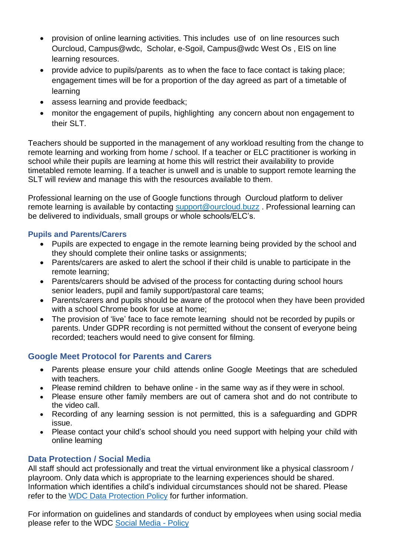- provision of online learning activities. This includes use ofon line resources such Ourcloud, Campus@wdc, Scholar, e-Sgoil, Campus@wdc West Os , EIS on line learning resources.
- provide advice to pupils/parents as to when the face to face contact is taking place; engagement times will be for a proportion of the day agreed as part of a timetable of learning
- assess learning and provide feedback;
- monitor the engagement of pupils, highlighting any concern about non engagement to their SLT.

Teachers should be supported in the management of any workload resulting from the change to remote learning and working from home / school. If a teacher or ELC practitioner is working in school while their pupils are learning at home this will restrict their availability to provide timetabled remote learning. If a teacher is unwell and is unable to support remote learning the SLT will review and manage this with the resources available to them.

Professional learning on the use of Google functions through Ourcloud platform to deliver remote learning is available by contacting [support@ourcloud.buzz](mailto:support@ourcloud.buzz) . Professional learning can be delivered to individuals, small groups or whole schools/ELC's.

#### **Pupils and Parents/Carers**

- Pupils are expected to engage in the remote learning being provided by the school and they should complete their online tasks or assignments;
- Parents/carers are asked to alert the school if their child is unable to participate in the remote learning;
- Parents/carers should be advised of the process for contacting during school hours senior leaders, pupil and family support/pastoral care teams;
- Parents/carers and pupils should be aware of the protocol when they have been provided with a school Chrome book for use at home:
- The provision of 'live' face to face remote learning should not be recorded by pupils or parents. Under GDPR recording is not permitted without the consent of everyone being recorded; teachers would need to give consent for filming.

#### **Google Meet Protocol for Parents and Carers**

- Parents please ensure your child attends online Google Meetings that are scheduled with teachers.
- Please remind children to behave online in the same way as if they were in school.
- Please ensure other family members are out of camera shot and do not contribute to the video call.
- Recording of any learning session is not permitted, this is a safeguarding and GDPR issue.
- Please contact your child's school should you need support with helping your child with online learning

#### **Data Protection / Social Media**

All staff should act professionally and treat the virtual environment like a physical classroom / playroom. Only data which is appropriate to the learning experiences should be shared. Information which identifies a child's individual circumstances should not be shared. Please refer to the WDC Data [Protection](https://intranet.west-dunbarton.gov.uk/regulatory-regeneration/regulatory/legal/data-protection/data-protection-guidance/) Policy for further information.

For information on guidelines and standards of conduct by employees when using social media please refer to the WDC [Social](https://intranet.west-dunbarton.gov.uk/media/13578/social-media-policy.docx) Media - Policy